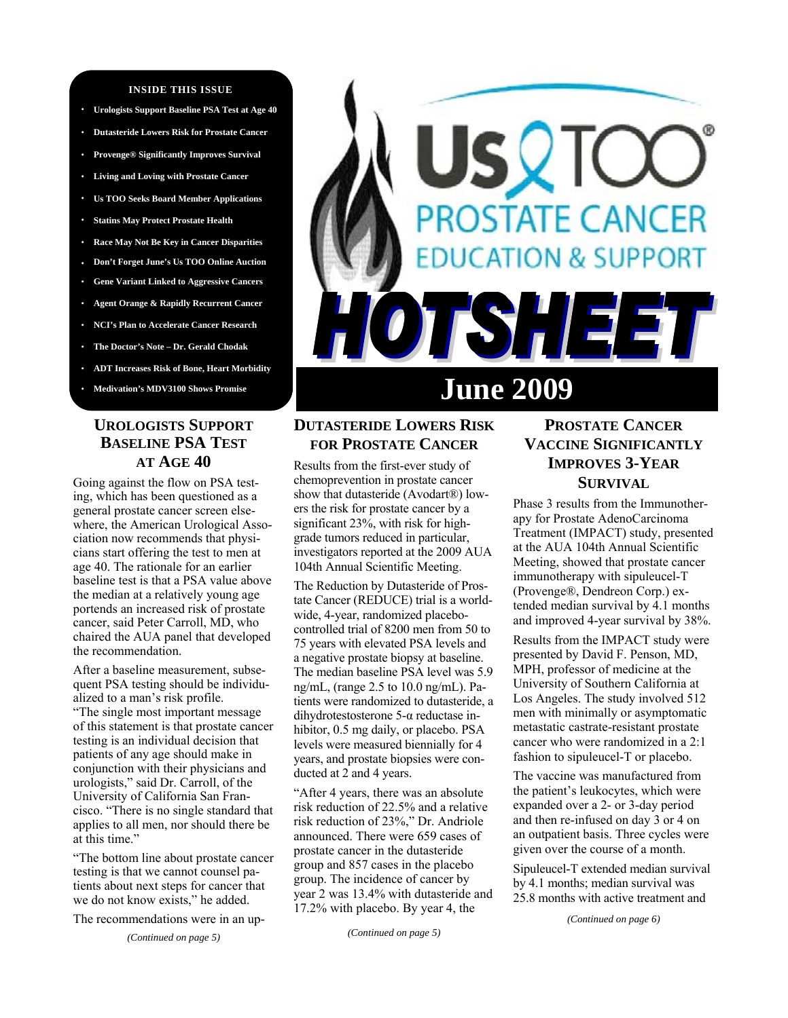### **INSIDE THIS ISSUE**

- **· Urologists Support Baseline PSA Test at Age 40**
- **· Dutasteride Lowers Risk for Prostate Cancer**
- **· Provenge® Significantly Improves Survival**
- **· Living and Loving with Prostate Cancer**
- **· Us TOO Seeks Board Member Applications**
- **· Statins May Protect Prostate Health**
- **· Race May Not Be Key in Cancer Disparities**
- **· Don't Forget June's Us TOO Online Auction**
- **· Gene Variant Linked to Aggressive Cancers**
- **· Agent Orange & Rapidly Recurrent Cancer**
- **· NCI's Plan to Accelerate Cancer Research**
- **· The Doctor's Note Dr. Gerald Chodak**
- **· ADT Increases Risk of Bone, Heart Morbidity**
- **· Medivation's MDV3100 Shows Promise**

# **UROLOGISTS SUPPORT BASELINE PSA TEST AT AGE 40**

Going against the flow on PSA testing, which has been questioned as a general prostate cancer screen elsewhere, the American Urological Association now recommends that physicians start offering the test to men at age 40. The rationale for an earlier baseline test is that a PSA value above the median at a relatively young age portends an increased risk of prostate cancer, said Peter Carroll, MD, who chaired the AUA panel that developed the recommendation.

After a baseline measurement, subsequent PSA testing should be individualized to a man's risk profile.

"The single most important message of this statement is that prostate cancer testing is an individual decision that patients of any age should make in conjunction with their physicians and urologists," said Dr. Carroll, of the University of California San Francisco. "There is no single standard that applies to all men, nor should there be at this time."

"The bottom line about prostate cancer testing is that we cannot counsel patients about next steps for cancer that we do not know exists," he added.

The recommendations were in an up-

# **DSTATE CANCER ON & SUPPORT** ISHEET **June 2009**

# **DUTASTERIDE LOWERS RISK FOR PROSTATE CANCER**

Results from the first-ever study of chemoprevention in prostate cancer show that dutasteride (Avodart®) lowers the risk for prostate cancer by a significant 23%, with risk for highgrade tumors reduced in particular, investigators reported at the 2009 AUA 104th Annual Scientific Meeting.

The Reduction by Dutasteride of Prostate Cancer (REDUCE) trial is a worldwide, 4-year, randomized placebocontrolled trial of 8200 men from 50 to 75 years with elevated PSA levels and a negative prostate biopsy at baseline. The median baseline PSA level was 5.9 ng/mL, (range 2.5 to 10.0 ng/mL). Patients were randomized to dutasteride, a dihydrotestosterone 5-α reductase inhibitor, 0.5 mg daily, or placebo. PSA levels were measured biennially for 4 years, and prostate biopsies were conducted at 2 and 4 years.

"After 4 years, there was an absolute risk reduction of 22.5% and a relative risk reduction of 23%," Dr. Andriole announced. There were 659 cases of prostate cancer in the dutasteride group and 857 cases in the placebo group. The incidence of cancer by year 2 was 13.4% with dutasteride and 17.2% with placebo. By year 4, the

*(Continued on page 5)* 

# **PROSTATE CANCER VACCINE SIGNIFICANTLY IMPROVES 3-YEAR SURVIVAL**

Phase 3 results from the Immunotherapy for Prostate AdenoCarcinoma Treatment (IMPACT) study, presented at the AUA 104th Annual Scientific Meeting, showed that prostate cancer immunotherapy with sipuleucel-T (Provenge®, Dendreon Corp.) extended median survival by 4.1 months and improved 4-year survival by 38%.

Results from the IMPACT study were presented by David F. Penson, MD, MPH, professor of medicine at the University of Southern California at Los Angeles. The study involved 512 men with minimally or asymptomatic metastatic castrate-resistant prostate cancer who were randomized in a 2:1 fashion to sipuleucel-T or placebo.

The vaccine was manufactured from the patient's leukocytes, which were expanded over a 2- or 3-day period and then re-infused on day 3 or 4 on an outpatient basis. Three cycles were given over the course of a month.

Sipuleucel-T extended median survival by 4.1 months; median survival was 25.8 months with active treatment and

*(Continued on page 6)*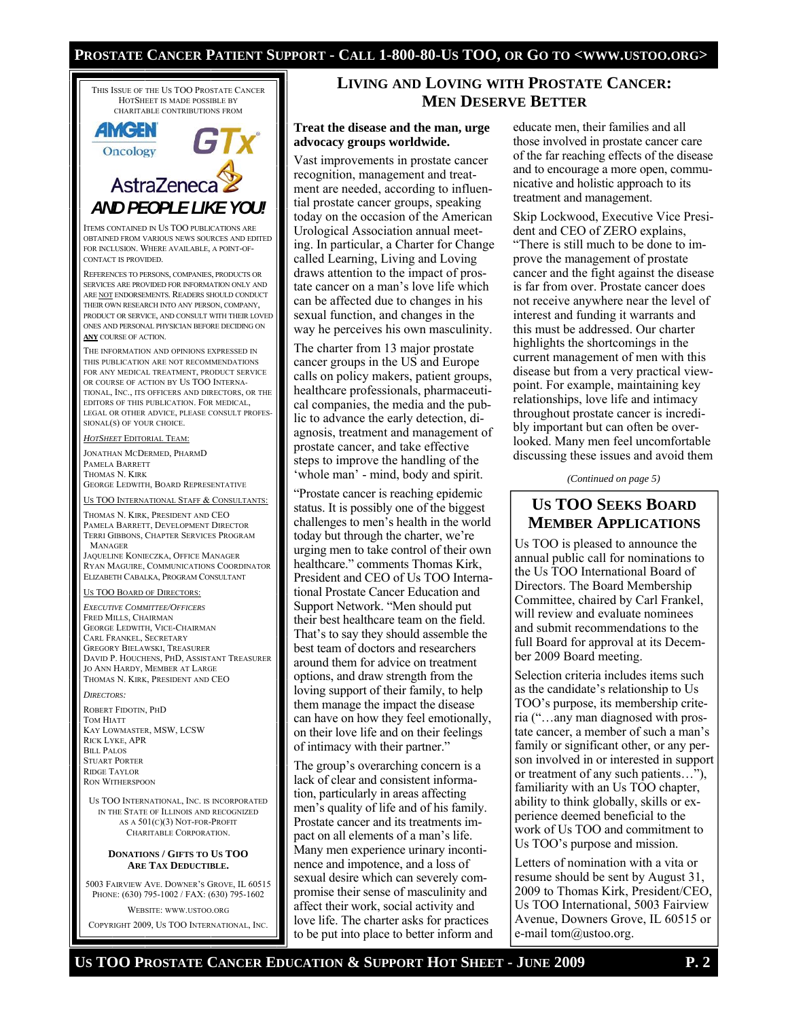### **PROSTATE CANCER PATIENT SUPPORT - CALL 1-800-80-US TOO, OR GO TO <WWW.USTOO.ORG>**

THIS ISSUE OF THE US TOO PROSTATE CANCER HOTSHEET IS MADE POSSIBLE BY CHARITABLE CONTRIBUTIONS FROM

# **AMGEN** Oncology AstraZeneca *AND PEOPLE LIKE YOU!*

ITEMS CONTAINED IN US TOO PUBLICATIONS ARE OBTAINED FROM VARIOUS NEWS SOURCES AND EDITED FOR INCLUSION. WHERE AVAILABLE, A POINT-OF-CONTACT IS PROVIDED.

REFERENCES TO PERSONS, COMPANIES, PRODUCTS OR SERVICES ARE PROVIDED FOR INFORMATION ONLY AND ARE NOT ENDORSEMENTS. READERS SHOULD CONDUCT THEIR OWN RESEARCH INTO ANY PERSON, COMPANY, PRODUCT OR SERVICE, AND CONSULT WITH THEIR LOVED ONES AND PERSONAL PHYSICIAN BEFORE DECIDING ON **ANY** COURSE OF ACTION.

THE INFORMATION AND OPINIONS EXPRESSED IN THIS PUBLICATION ARE NOT RECOMMENDATIONS FOR ANY MEDICAL TREATMENT, PRODUCT SERVICE OR COURSE OF ACTION BY US TOO INTERNA-TIONAL, INC., ITS OFFICERS AND DIRECTORS, OR THE EDITORS OF THIS PUBLICATION. FOR MEDICAL, LEGAL OR OTHER ADVICE, PLEASE CONSULT PROFES-SIONAL(S) OF YOUR CHOICE.

### *HOTSHEET* EDITORIAL TEAM:

JONATHAN MCDERMED, PHARMD PAMELA BARRETT THOMAS N. KIRK GEORGE LEDWITH, BOARD REPRESENTATIVE

### US TOO INTERNAT<u>IONAL STAFF & CONSULTANTS:</u>

THOMAS N. KIRK, PRESIDENT AND CEO PAMELA BARRETT, DEVELOPMENT DIRECTOR TERRI GIBBONS, CHAPTER SERVICES PROGRAM MANAGER

JAQUELINE KONIECZKA, OFFICE MANAGER RYAN MAGUIRE, COMMUNICATIONS COORDINATOR ELIZABETH CABALKA, PROGRAM CONSULTANT

### US TOO BOARD OF DIRECTORS:

*EXECUTIVE COMMITTEE/OFFICERS* FRED MILLS, CHAIRMAN GEORGE LEDWITH, VICE-CHAIRMAN CARL FRANKEL, SECRETARY GREGORY BIELAWSKI, TREASURER DAVID P. HOUCHENS, PHD, ASSISTANT TREASURER JO ANN HARDY, MEMBER AT LARGE THOMAS N. KIRK, PRESIDENT AND CEO

### *DIRECTORS:*

ROBERT FIDOTIN, PHD TOM HIATT KAY LOWMASTER, MSW, LCSW RICK LYKE, APR BILL PALOS STUART PORTER RIDGE TAYLOR RON WITHERSPOON

US TOO INTERNATIONAL, INC. IS INCORPORATED IN THE STATE OF ILLINOIS AND RECOGNIZED AS A 501(C)(3) NOT-FOR-PROFIT CHARITABLE CORPORATION.

### **DONATIONS / GIFTS TO US TOO ARE TAX DEDUCTIBLE.**

5003 FAIRVIEW AVE. DOWNER'S GROVE, IL 60515 PHONE: (630) 795-1002 / FAX: (630) 795-1602

WEBSITE: WWW.USTOO.ORG

COPYRIGHT 2009, US TOO INTERNATIONAL, INC.

# **LIVING AND LOVING WITH PROSTATE CANCER: MEN DESERVE BETTER**

### **Treat the disease and the man, urge advocacy groups worldwide.**

Vast improvements in prostate cancer recognition, management and treatment are needed, according to influential prostate cancer groups, speaking today on the occasion of the American Urological Association annual meeting. In particular, a Charter for Change called Learning, Living and Loving draws attention to the impact of prostate cancer on a man's love life which can be affected due to changes in his sexual function, and changes in the way he perceives his own masculinity.

The charter from 13 major prostate cancer groups in the US and Europe calls on policy makers, patient groups, healthcare professionals, pharmaceutical companies, the media and the public to advance the early detection, diagnosis, treatment and management of prostate cancer, and take effective steps to improve the handling of the 'whole man' - mind, body and spirit.

"Prostate cancer is reaching epidemic status. It is possibly one of the biggest challenges to men's health in the world today but through the charter, we're urging men to take control of their own healthcare." comments Thomas Kirk, President and CEO of Us TOO International Prostate Cancer Education and Support Network. "Men should put their best healthcare team on the field. That's to say they should assemble the best team of doctors and researchers around them for advice on treatment options, and draw strength from the loving support of their family, to help them manage the impact the disease can have on how they feel emotionally, on their love life and on their feelings of intimacy with their partner."

The group's overarching concern is a lack of clear and consistent information, particularly in areas affecting men's quality of life and of his family. Prostate cancer and its treatments impact on all elements of a man's life. Many men experience urinary incontinence and impotence, and a loss of sexual desire which can severely compromise their sense of masculinity and affect their work, social activity and love life. The charter asks for practices to be put into place to better inform and educate men, their families and all those involved in prostate cancer care of the far reaching effects of the disease and to encourage a more open, communicative and holistic approach to its treatment and management.

Skip Lockwood, Executive Vice President and CEO of ZERO explains, "There is still much to be done to improve the management of prostate cancer and the fight against the disease is far from over. Prostate cancer does not receive anywhere near the level of interest and funding it warrants and this must be addressed. Our charter highlights the shortcomings in the current management of men with this disease but from a very practical viewpoint. For example, maintaining key relationships, love life and intimacy throughout prostate cancer is incredibly important but can often be overlooked. Many men feel uncomfortable discussing these issues and avoid them

*(Continued on page 5)* 

# **US TOO SEEKS BOARD MEMBER APPLICATIONS**

Us TOO is pleased to announce the annual public call for nominations to the Us TOO International Board of Directors. The Board Membership Committee, chaired by Carl Frankel, will review and evaluate nominees and submit recommendations to the full Board for approval at its December 2009 Board meeting.

Selection criteria includes items such as the candidate's relationship to Us TOO's purpose, its membership criteria ("…any man diagnosed with prostate cancer, a member of such a man's family or significant other, or any person involved in or interested in support or treatment of any such patients…"), familiarity with an Us TOO chapter, ability to think globally, skills or experience deemed beneficial to the work of Us TOO and commitment to Us TOO's purpose and mission.

Letters of nomination with a vita or resume should be sent by August 31, 2009 to Thomas Kirk, President/CEO, Us TOO International, 5003 Fairview Avenue, Downers Grove, IL 60515 or e-mail tom@ustoo.org.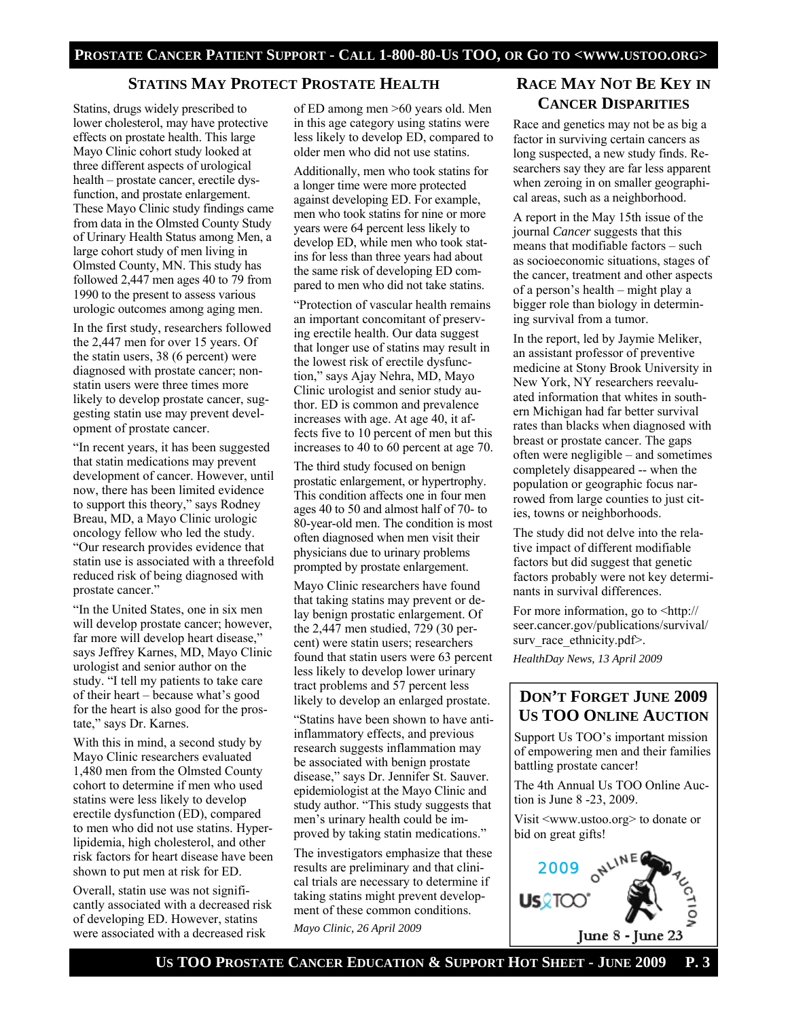# **STATINS MAY PROTECT PROSTATE HEALTH**

Statins, drugs widely prescribed to lower cholesterol, may have protective effects on prostate health. This large Mayo Clinic cohort study looked at three different aspects of urological health – prostate cancer, erectile dysfunction, and prostate enlargement. These Mayo Clinic study findings came from data in the Olmsted County Study of Urinary Health Status among Men, a large cohort study of men living in Olmsted County, MN. This study has followed 2,447 men ages 40 to 79 from 1990 to the present to assess various urologic outcomes among aging men.

In the first study, researchers followed the 2,447 men for over 15 years. Of the statin users, 38 (6 percent) were diagnosed with prostate cancer; nonstatin users were three times more likely to develop prostate cancer, suggesting statin use may prevent development of prostate cancer.

"In recent years, it has been suggested that statin medications may prevent development of cancer. However, until now, there has been limited evidence to support this theory," says Rodney Breau, MD, a Mayo Clinic urologic oncology fellow who led the study. "Our research provides evidence that statin use is associated with a threefold reduced risk of being diagnosed with prostate cancer."

"In the United States, one in six men will develop prostate cancer; however, far more will develop heart disease," says Jeffrey Karnes, MD, Mayo Clinic urologist and senior author on the study. "I tell my patients to take care of their heart – because what's good for the heart is also good for the prostate," says Dr. Karnes.

With this in mind, a second study by Mayo Clinic researchers evaluated 1,480 men from the Olmsted County cohort to determine if men who used statins were less likely to develop erectile dysfunction (ED), compared to men who did not use statins. Hyperlipidemia, high cholesterol, and other risk factors for heart disease have been shown to put men at risk for ED.

Overall, statin use was not significantly associated with a decreased risk of developing ED. However, statins were associated with a decreased risk

of ED among men >60 years old. Men in this age category using statins were less likely to develop ED, compared to older men who did not use statins.

Additionally, men who took statins for a longer time were more protected against developing ED. For example, men who took statins for nine or more years were 64 percent less likely to develop ED, while men who took statins for less than three years had about the same risk of developing ED compared to men who did not take statins.

"Protection of vascular health remains an important concomitant of preserving erectile health. Our data suggest that longer use of statins may result in the lowest risk of erectile dysfunction," says Ajay Nehra, MD, Mayo Clinic urologist and senior study author. ED is common and prevalence increases with age. At age 40, it affects five to 10 percent of men but this increases to 40 to 60 percent at age 70.

The third study focused on benign prostatic enlargement, or hypertrophy. This condition affects one in four men ages 40 to 50 and almost half of 70- to 80-year-old men. The condition is most often diagnosed when men visit their physicians due to urinary problems prompted by prostate enlargement.

Mayo Clinic researchers have found that taking statins may prevent or delay benign prostatic enlargement. Of the 2,447 men studied, 729 (30 percent) were statin users; researchers found that statin users were 63 percent less likely to develop lower urinary tract problems and 57 percent less likely to develop an enlarged prostate.

"Statins have been shown to have antiinflammatory effects, and previous research suggests inflammation may be associated with benign prostate disease," says Dr. Jennifer St. Sauver. epidemiologist at the Mayo Clinic and study author. "This study suggests that men's urinary health could be improved by taking statin medications."

The investigators emphasize that these results are preliminary and that clinical trials are necessary to determine if taking statins might prevent development of these common conditions. *Mayo Clinic, 26 April 2009* 

# **RACE MAY NOT BE KEY IN CANCER DISPARITIES**

Race and genetics may not be as big a factor in surviving certain cancers as long suspected, a new study finds. Researchers say they are far less apparent when zeroing in on smaller geographical areas, such as a neighborhood.

A report in the May 15th issue of the journal *Cancer* suggests that this means that modifiable factors – such as socioeconomic situations, stages of the cancer, treatment and other aspects of a person's health – might play a bigger role than biology in determining survival from a tumor.

In the report, led by Jaymie Meliker, an assistant professor of preventive medicine at Stony Brook University in New York, NY researchers reevaluated information that whites in southern Michigan had far better survival rates than blacks when diagnosed with breast or prostate cancer. The gaps often were negligible – and sometimes completely disappeared -- when the population or geographic focus narrowed from large counties to just cities, towns or neighborhoods.

The study did not delve into the relative impact of different modifiable factors but did suggest that genetic factors probably were not key determinants in survival differences.

For more information, go to  $\langle$ http:// seer.cancer.gov/publications/survival/ surv\_race\_ethnicity.pdf>. *HealthDay News, 13 April 2009* 

# **DON'T FORGET JUNE 2009 US TOO ONLINE AUCTION**

Support Us TOO's important mission of empowering men and their families battling prostate cancer!

The 4th Annual Us TOO Online Auction is June 8 -23, 2009.

Visit <www.ustoo.org> to donate or bid on great gifts!

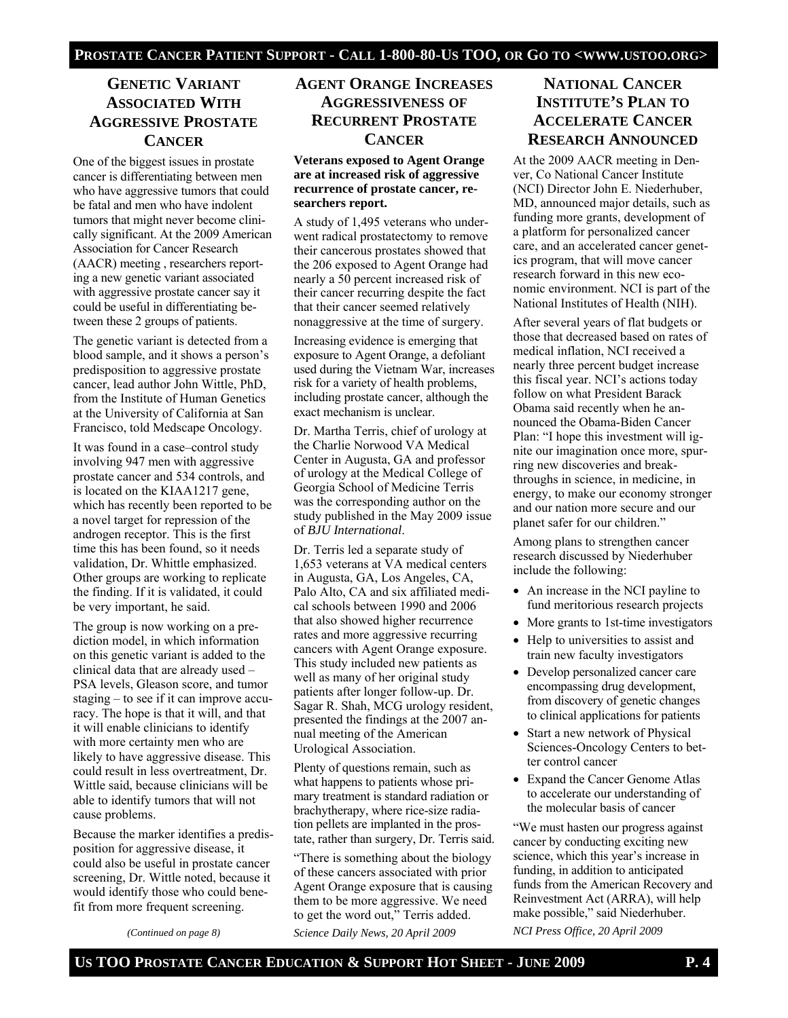# **GENETIC VARIANT ASSOCIATED WITH AGGRESSIVE PROSTATE CANCER**

One of the biggest issues in prostate cancer is differentiating between men who have aggressive tumors that could be fatal and men who have indolent tumors that might never become clinically significant. At the 2009 American Association for Cancer Research (AACR) meeting , researchers reporting a new genetic variant associated with aggressive prostate cancer say it could be useful in differentiating between these 2 groups of patients.

The genetic variant is detected from a blood sample, and it shows a person's predisposition to aggressive prostate cancer, lead author John Wittle, PhD, from the Institute of Human Genetics at the University of California at San Francisco, told Medscape Oncology.

It was found in a case–control study involving 947 men with aggressive prostate cancer and 534 controls, and is located on the KIAA1217 gene, which has recently been reported to be a novel target for repression of the androgen receptor. This is the first time this has been found, so it needs validation, Dr. Whittle emphasized. Other groups are working to replicate the finding. If it is validated, it could be very important, he said.

The group is now working on a prediction model, in which information on this genetic variant is added to the clinical data that are already used – PSA levels, Gleason score, and tumor staging – to see if it can improve accuracy. The hope is that it will, and that it will enable clinicians to identify with more certainty men who are likely to have aggressive disease. This could result in less overtreatment, Dr. Wittle said, because clinicians will be able to identify tumors that will not cause problems.

Because the marker identifies a predisposition for aggressive disease, it could also be useful in prostate cancer screening, Dr. Wittle noted, because it would identify those who could benefit from more frequent screening.

*(Continued on page 8)* 

# **AGENT ORANGE INCREASES AGGRESSIVENESS OF RECURRENT PROSTATE CANCER**

### **Veterans exposed to Agent Orange are at increased risk of aggressive recurrence of prostate cancer, researchers report.**

A study of 1,495 veterans who underwent radical prostatectomy to remove their cancerous prostates showed that the 206 exposed to Agent Orange had nearly a 50 percent increased risk of their cancer recurring despite the fact that their cancer seemed relatively nonaggressive at the time of surgery.

Increasing evidence is emerging that exposure to Agent Orange, a defoliant used during the Vietnam War, increases risk for a variety of health problems, including prostate cancer, although the exact mechanism is unclear.

Dr. Martha Terris, chief of urology at the Charlie Norwood VA Medical Center in Augusta, GA and professor of urology at the Medical College of Georgia School of Medicine Terris was the corresponding author on the study published in the May 2009 issue of *BJU International*.

Dr. Terris led a separate study of 1,653 veterans at VA medical centers in Augusta, GA, Los Angeles, CA, Palo Alto, CA and six affiliated medical schools between 1990 and 2006 that also showed higher recurrence rates and more aggressive recurring cancers with Agent Orange exposure. This study included new patients as well as many of her original study patients after longer follow-up. Dr. Sagar R. Shah, MCG urology resident, presented the findings at the 2007 annual meeting of the American Urological Association.

Plenty of questions remain, such as what happens to patients whose primary treatment is standard radiation or brachytherapy, where rice-size radiation pellets are implanted in the prostate, rather than surgery, Dr. Terris said.

"There is something about the biology of these cancers associated with prior Agent Orange exposure that is causing them to be more aggressive. We need to get the word out," Terris added.

*Science Daily News, 20 April 2009* 

# **NATIONAL CANCER INSTITUTE'S PLAN TO ACCELERATE CANCER RESEARCH ANNOUNCED**

At the 2009 AACR meeting in Denver, Co National Cancer Institute (NCI) Director John E. Niederhuber, MD, announced major details, such as funding more grants, development of a platform for personalized cancer care, and an accelerated cancer genetics program, that will move cancer research forward in this new economic environment. NCI is part of the National Institutes of Health (NIH).

After several years of flat budgets or those that decreased based on rates of medical inflation, NCI received a nearly three percent budget increase this fiscal year. NCI's actions today follow on what President Barack Obama said recently when he announced the Obama-Biden Cancer Plan: "I hope this investment will ignite our imagination once more, spurring new discoveries and breakthroughs in science, in medicine, in energy, to make our economy stronger and our nation more secure and our planet safer for our children."

Among plans to strengthen cancer research discussed by Niederhuber include the following:

- An increase in the NCI payline to fund meritorious research projects
- More grants to 1st-time investigators
- Help to universities to assist and train new faculty investigators
- Develop personalized cancer care encompassing drug development, from discovery of genetic changes to clinical applications for patients
- Start a new network of Physical Sciences-Oncology Centers to better control cancer
- Expand the Cancer Genome Atlas to accelerate our understanding of the molecular basis of cancer

"We must hasten our progress against cancer by conducting exciting new science, which this year's increase in funding, in addition to anticipated funds from the American Recovery and Reinvestment Act (ARRA), will help make possible," said Niederhuber.

*NCI Press Office, 20 April 2009*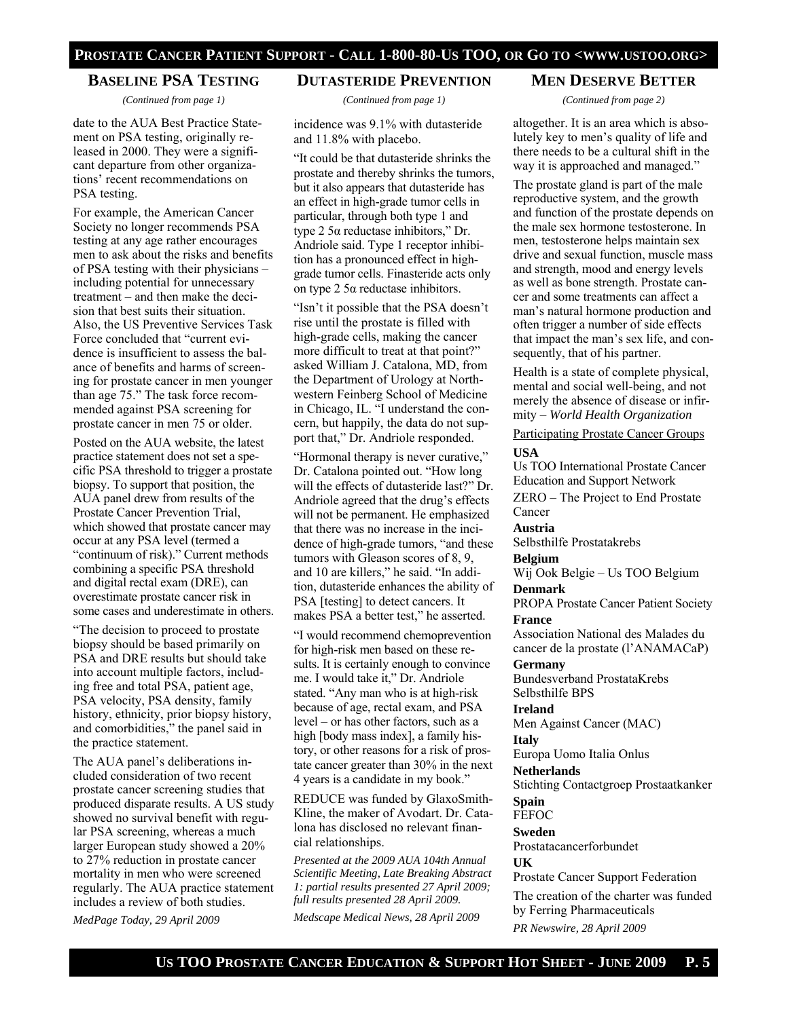## **BASELINE PSA TESTING**

*(Continued from page 1)* 

date to the AUA Best Practice Statement on PSA testing, originally released in 2000. They were a significant departure from other organizations' recent recommendations on PSA testing.

For example, the American Cancer Society no longer recommends PSA testing at any age rather encourages men to ask about the risks and benefits of PSA testing with their physicians – including potential for unnecessary treatment – and then make the decision that best suits their situation. Also, the US Preventive Services Task Force concluded that "current evidence is insufficient to assess the balance of benefits and harms of screening for prostate cancer in men younger than age 75." The task force recommended against PSA screening for prostate cancer in men 75 or older.

Posted on the AUA website, the latest practice statement does not set a specific PSA threshold to trigger a prostate biopsy. To support that position, the AUA panel drew from results of the Prostate Cancer Prevention Trial, which showed that prostate cancer may occur at any PSA level (termed a "continuum of risk)." Current methods combining a specific PSA threshold and digital rectal exam (DRE), can overestimate prostate cancer risk in some cases and underestimate in others.

"The decision to proceed to prostate biopsy should be based primarily on PSA and DRE results but should take into account multiple factors, including free and total PSA, patient age, PSA velocity, PSA density, family history, ethnicity, prior biopsy history, and comorbidities," the panel said in the practice statement.

The AUA panel's deliberations included consideration of two recent prostate cancer screening studies that produced disparate results. A US study showed no survival benefit with regular PSA screening, whereas a much larger European study showed a 20% to 27% reduction in prostate cancer mortality in men who were screened regularly. The AUA practice statement includes a review of both studies.

*MedPage Today, 29 April 2009* 

### **DUTASTERIDE PREVENTION**

*(Continued from page 1)* 

incidence was 9.1% with dutasteride and 11.8% with placebo.

"It could be that dutasteride shrinks the prostate and thereby shrinks the tumors, but it also appears that dutasteride has an effect in high-grade tumor cells in particular, through both type 1 and type 2 5α reductase inhibitors," Dr. Andriole said. Type 1 receptor inhibition has a pronounced effect in highgrade tumor cells. Finasteride acts only on type 2 5α reductase inhibitors.

"Isn't it possible that the PSA doesn't rise until the prostate is filled with high-grade cells, making the cancer more difficult to treat at that point?" asked William J. Catalona, MD, from the Department of Urology at Northwestern Feinberg School of Medicine in Chicago, IL. "I understand the concern, but happily, the data do not support that," Dr. Andriole responded.

"Hormonal therapy is never curative," Dr. Catalona pointed out. "How long will the effects of dutasteride last?" Dr. Andriole agreed that the drug's effects will not be permanent. He emphasized that there was no increase in the incidence of high-grade tumors, "and these tumors with Gleason scores of 8, 9, and 10 are killers," he said. "In addition, dutasteride enhances the ability of PSA [testing] to detect cancers. It makes PSA a better test," he asserted.

"I would recommend chemoprevention for high-risk men based on these results. It is certainly enough to convince me. I would take it," Dr. Andriole stated. "Any man who is at high-risk because of age, rectal exam, and PSA level – or has other factors, such as a high [body mass index], a family history, or other reasons for a risk of prostate cancer greater than 30% in the next 4 years is a candidate in my book."

REDUCE was funded by GlaxoSmith-Kline, the maker of Avodart. Dr. Catalona has disclosed no relevant financial relationships.

*Presented at the 2009 AUA 104th Annual Scientific Meeting, Late Breaking Abstract 1: partial results presented 27 April 2009; full results presented 28 April 2009.* 

*Medscape Medical News, 28 April 2009* 

### **MEN DESERVE BETTER**

*(Continued from page 2)* 

altogether. It is an area which is absolutely key to men's quality of life and there needs to be a cultural shift in the way it is approached and managed."

The prostate gland is part of the male reproductive system, and the growth and function of the prostate depends on the male sex hormone testosterone. In men, testosterone helps maintain sex drive and sexual function, muscle mass and strength, mood and energy levels as well as bone strength. Prostate cancer and some treatments can affect a man's natural hormone production and often trigger a number of side effects that impact the man's sex life, and consequently, that of his partner.

Health is a state of complete physical, mental and social well-being, and not merely the absence of disease or infirmity – *World Health Organization*

Participating Prostate Cancer Groups

### **USA**

Us TOO International Prostate Cancer Education and Support Network ZERO – The Project to End Prostate Cancer

### **Austria**

Selbsthilfe Prostatakrebs

### **Belgium**

Wij Ook Belgie – Us TOO Belgium

# **Denmark**

PROPA Prostate Cancer Patient Society **France** 

Association National des Malades du cancer de la prostate (l'ANAMACaP)

### **Germany**

Bundesverband ProstataKrebs Selbsthilfe BPS

### **Ireland**

Men Against Cancer (MAC)

### **Italy**

Europa Uomo Italia Onlus

### **Netherlands**

Stichting Contactgroep Prostaatkanker

### **Spain FEFOC**

# **Sweden**

Prostatacancerforbundet

### **UK**

Prostate Cancer Support Federation

The creation of the charter was funded by Ferring Pharmaceuticals *PR Newswire, 28 April 2009*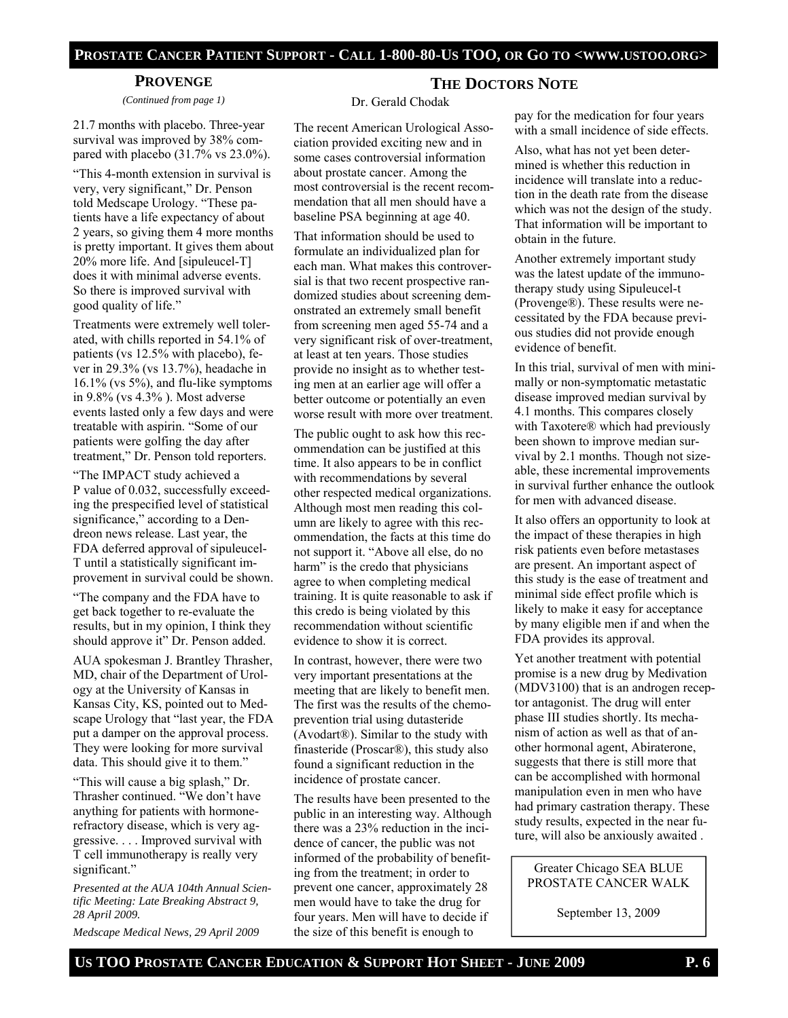### **PROSTATE CANCER PATIENT SUPPORT - CALL 1-800-80-US TOO, OR GO TO <WWW.USTOO.ORG>**

### **PROVENGE**

*(Continued from page 1)* 

21.7 months with placebo. Three-year survival was improved by 38% compared with placebo (31.7% vs 23.0%).

"This 4-month extension in survival is very, very significant," Dr. Penson told Medscape Urology. "These patients have a life expectancy of about 2 years, so giving them 4 more months is pretty important. It gives them about 20% more life. And [sipuleucel-T] does it with minimal adverse events. So there is improved survival with good quality of life."

Treatments were extremely well tolerated, with chills reported in 54.1% of patients (vs 12.5% with placebo), fever in 29.3% (vs 13.7%), headache in 16.1% (vs 5%), and flu-like symptoms in 9.8% (vs 4.3% ). Most adverse events lasted only a few days and were treatable with aspirin. "Some of our patients were golfing the day after treatment," Dr. Penson told reporters.

"The IMPACT study achieved a P value of 0.032, successfully exceeding the prespecified level of statistical significance," according to a Dendreon news release. Last year, the FDA deferred approval of sipuleucel-T until a statistically significant improvement in survival could be shown.

"The company and the FDA have to get back together to re-evaluate the results, but in my opinion, I think they should approve it" Dr. Penson added.

AUA spokesman J. Brantley Thrasher, MD, chair of the Department of Urology at the University of Kansas in Kansas City, KS, pointed out to Medscape Urology that "last year, the FDA put a damper on the approval process. They were looking for more survival data. This should give it to them."

"This will cause a big splash," Dr. Thrasher continued. "We don't have anything for patients with hormonerefractory disease, which is very aggressive. . . . Improved survival with T cell immunotherapy is really very significant."

*Presented at the AUA 104th Annual Scientific Meeting: Late Breaking Abstract 9, 28 April 2009.* 

*Medscape Medical News, 29 April 2009* 

# **THE DOCTORS NOTE**

### Dr. Gerald Chodak

The recent American Urological Association provided exciting new and in some cases controversial information about prostate cancer. Among the most controversial is the recent recommendation that all men should have a baseline PSA beginning at age 40.

That information should be used to formulate an individualized plan for each man. What makes this controversial is that two recent prospective randomized studies about screening demonstrated an extremely small benefit from screening men aged 55-74 and a very significant risk of over-treatment, at least at ten years. Those studies provide no insight as to whether testing men at an earlier age will offer a better outcome or potentially an even worse result with more over treatment.

The public ought to ask how this recommendation can be justified at this time. It also appears to be in conflict with recommendations by several other respected medical organizations. Although most men reading this column are likely to agree with this recommendation, the facts at this time do not support it. "Above all else, do no harm" is the credo that physicians agree to when completing medical training. It is quite reasonable to ask if this credo is being violated by this recommendation without scientific evidence to show it is correct.

In contrast, however, there were two very important presentations at the meeting that are likely to benefit men. The first was the results of the chemoprevention trial using dutasteride (Avodart®). Similar to the study with finasteride (Proscar®), this study also found a significant reduction in the incidence of prostate cancer.

The results have been presented to the public in an interesting way. Although there was a 23% reduction in the incidence of cancer, the public was not informed of the probability of benefiting from the treatment; in order to prevent one cancer, approximately 28 men would have to take the drug for four years. Men will have to decide if the size of this benefit is enough to

pay for the medication for four years with a small incidence of side effects.

Also, what has not yet been determined is whether this reduction in incidence will translate into a reduction in the death rate from the disease which was not the design of the study. That information will be important to obtain in the future.

Another extremely important study was the latest update of the immunotherapy study using Sipuleucel-t (Provenge®). These results were necessitated by the FDA because previous studies did not provide enough evidence of benefit.

In this trial, survival of men with minimally or non-symptomatic metastatic disease improved median survival by 4.1 months. This compares closely with Taxotere® which had previously been shown to improve median survival by 2.1 months. Though not sizeable, these incremental improvements in survival further enhance the outlook for men with advanced disease.

It also offers an opportunity to look at the impact of these therapies in high risk patients even before metastases are present. An important aspect of this study is the ease of treatment and minimal side effect profile which is likely to make it easy for acceptance by many eligible men if and when the FDA provides its approval.

Yet another treatment with potential promise is a new drug by Medivation (MDV3100) that is an androgen receptor antagonist. The drug will enter phase III studies shortly. Its mechanism of action as well as that of another hormonal agent, Abiraterone, suggests that there is still more that can be accomplished with hormonal manipulation even in men who have had primary castration therapy. These study results, expected in the near future, will also be anxiously awaited .

Greater Chicago SEA BLUE PROSTATE CANCER WALK

September 13, 2009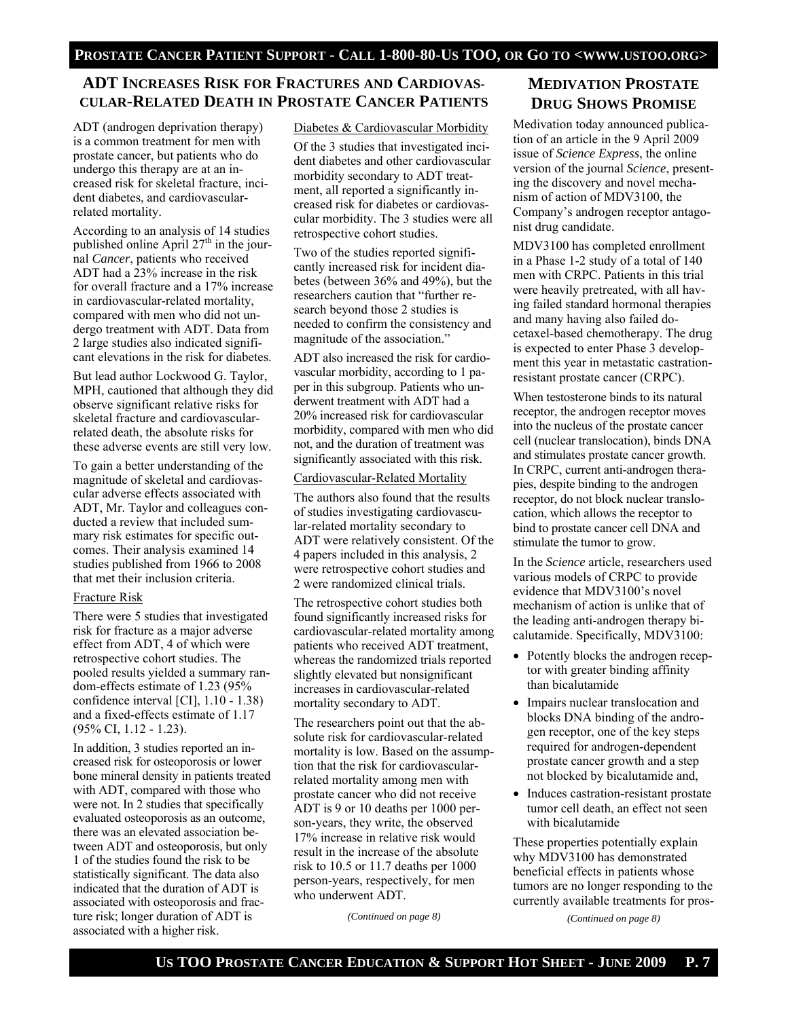# **ADT INCREASES RISK FOR FRACTURES AND CARDIOVAS-CULAR-RELATED DEATH IN PROSTATE CANCER PATIENTS**

ADT (androgen deprivation therapy) is a common treatment for men with prostate cancer, but patients who do undergo this therapy are at an increased risk for skeletal fracture, incident diabetes, and cardiovascularrelated mortality.

According to an analysis of 14 studies published online April  $27<sup>th</sup>$  in the journal *Cancer*, patients who received ADT had a 23% increase in the risk for overall fracture and a 17% increase in cardiovascular-related mortality, compared with men who did not undergo treatment with ADT. Data from 2 large studies also indicated significant elevations in the risk for diabetes.

But lead author Lockwood G. Taylor, MPH, cautioned that although they did observe significant relative risks for skeletal fracture and cardiovascularrelated death, the absolute risks for these adverse events are still very low.

To gain a better understanding of the magnitude of skeletal and cardiovascular adverse effects associated with ADT, Mr. Taylor and colleagues conducted a review that included summary risk estimates for specific outcomes. Their analysis examined 14 studies published from 1966 to 2008 that met their inclusion criteria.

### Fracture Risk

There were 5 studies that investigated risk for fracture as a major adverse effect from ADT, 4 of which were retrospective cohort studies. The pooled results yielded a summary random-effects estimate of 1.23 (95% confidence interval [CI], 1.10 - 1.38) and a fixed-effects estimate of 1.17 (95% CI, 1.12 - 1.23).

In addition, 3 studies reported an increased risk for osteoporosis or lower bone mineral density in patients treated with ADT, compared with those who were not. In 2 studies that specifically evaluated osteoporosis as an outcome, there was an elevated association between ADT and osteoporosis, but only 1 of the studies found the risk to be statistically significant. The data also indicated that the duration of ADT is associated with osteoporosis and fracture risk; longer duration of ADT is associated with a higher risk.

### Diabetes & Cardiovascular Morbidity

Of the 3 studies that investigated incident diabetes and other cardiovascular morbidity secondary to ADT treatment, all reported a significantly increased risk for diabetes or cardiovascular morbidity. The 3 studies were all retrospective cohort studies.

Two of the studies reported significantly increased risk for incident diabetes (between 36% and 49%), but the researchers caution that "further research beyond those 2 studies is needed to confirm the consistency and magnitude of the association."

ADT also increased the risk for cardiovascular morbidity, according to 1 paper in this subgroup. Patients who underwent treatment with ADT had a 20% increased risk for cardiovascular morbidity, compared with men who did not, and the duration of treatment was significantly associated with this risk.

### Cardiovascular-Related Mortality

The authors also found that the results of studies investigating cardiovascular-related mortality secondary to ADT were relatively consistent. Of the 4 papers included in this analysis, 2 were retrospective cohort studies and 2 were randomized clinical trials.

The retrospective cohort studies both found significantly increased risks for cardiovascular-related mortality among patients who received ADT treatment, whereas the randomized trials reported slightly elevated but nonsignificant increases in cardiovascular-related mortality secondary to ADT.

The researchers point out that the absolute risk for cardiovascular-related mortality is low. Based on the assumption that the risk for cardiovascularrelated mortality among men with prostate cancer who did not receive ADT is 9 or 10 deaths per 1000 person-years, they write, the observed 17% increase in relative risk would result in the increase of the absolute risk to 10.5 or 11.7 deaths per 1000 person-years, respectively, for men who underwent ADT.

*(Continued on page 8)* 

# **MEDIVATION PROSTATE DRUG SHOWS PROMISE**

Medivation today announced publication of an article in the 9 April 2009 issue of *Science Express*, the online version of the journal *Science*, presenting the discovery and novel mechanism of action of MDV3100, the Company's androgen receptor antagonist drug candidate.

MDV3100 has completed enrollment in a Phase 1-2 study of a total of 140 men with CRPC. Patients in this trial were heavily pretreated, with all having failed standard hormonal therapies and many having also failed docetaxel-based chemotherapy. The drug is expected to enter Phase 3 development this year in metastatic castrationresistant prostate cancer (CRPC).

When testosterone binds to its natural receptor, the androgen receptor moves into the nucleus of the prostate cancer cell (nuclear translocation), binds DNA and stimulates prostate cancer growth. In CRPC, current anti-androgen therapies, despite binding to the androgen receptor, do not block nuclear translocation, which allows the receptor to bind to prostate cancer cell DNA and stimulate the tumor to grow.

In the *Science* article, researchers used various models of CRPC to provide evidence that MDV3100's novel mechanism of action is unlike that of the leading anti-androgen therapy bicalutamide. Specifically, MDV3100:

- Potently blocks the androgen receptor with greater binding affinity than bicalutamide
- Impairs nuclear translocation and blocks DNA binding of the androgen receptor, one of the key steps required for androgen-dependent prostate cancer growth and a step not blocked by bicalutamide and,
- Induces castration-resistant prostate tumor cell death, an effect not seen with bicalutamide

These properties potentially explain why MDV3100 has demonstrated beneficial effects in patients whose tumors are no longer responding to the currently available treatments for pros-

*(Continued on page 8)*